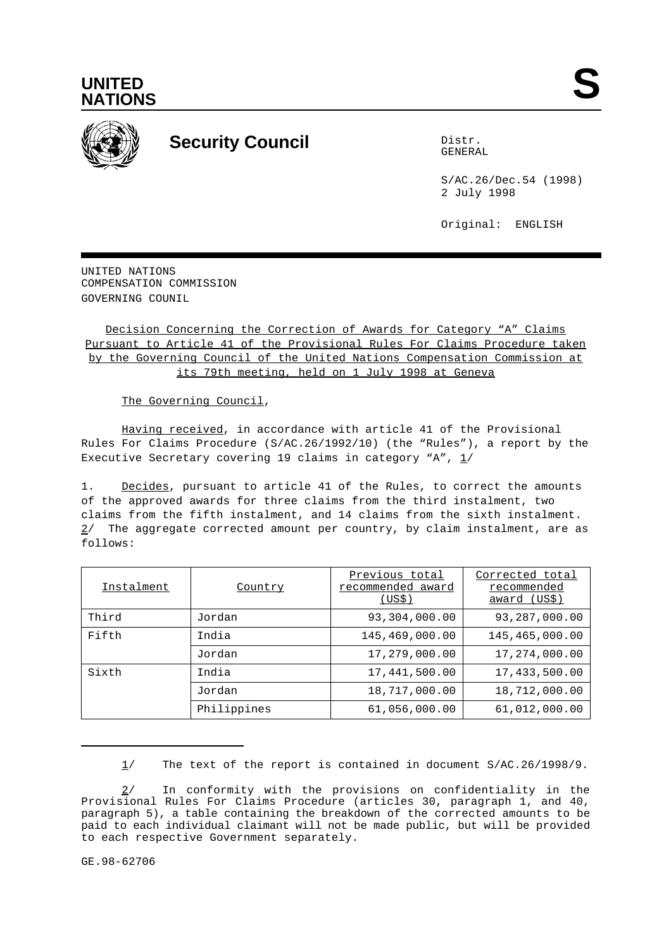



## **Security Council** Distribution Distribution

GENERAL

S/AC.26/Dec.54 (1998) 2 July 1998

Original: ENGLISH

UNITED NATIONS COMPENSATION COMMISSION GOVERNING COUNIL

Decision Concerning the Correction of Awards for Category "A" Claims Pursuant to Article 41 of the Provisional Rules For Claims Procedure taken by the Governing Council of the United Nations Compensation Commission at its 79th meeting, held on 1 July 1998 at Geneva

The Governing Council,

Having received, in accordance with article 41 of the Provisional Rules For Claims Procedure (S/AC.26/1992/10) (the "Rules"), a report by the Executive Secretary covering 19 claims in category "A",  $1/$ 

1. Decides, pursuant to article 41 of the Rules, to correct the amounts of the approved awards for three claims from the third instalment, two claims from the fifth instalment, and 14 claims from the sixth instalment. 2/ The aggregate corrected amount per country, by claim instalment, are as follows:

| Instalment | Country     | Previous total<br>recommended award<br>(US\$) | Corrected total<br>recommended<br>award (US\$) |
|------------|-------------|-----------------------------------------------|------------------------------------------------|
| Third      | Jordan      | 93,304,000.00                                 | 93,287,000.00                                  |
| Fifth      | India       | 145,469,000.00                                | 145,465,000.00                                 |
|            | Jordan      | 17,279,000.00                                 | 17,274,000.00                                  |
| Sixth      | India       | 17,441,500.00                                 | 17,433,500.00                                  |
|            | Jordan      | 18,717,000.00                                 | 18,712,000.00                                  |
|            | Philippines | 61,056,000.00                                 | 61,012,000.00                                  |

1/ The text of the report is contained in document S/AC.26/1998/9.

<sup>2/</sup> In conformity with the provisions on confidentiality in the Provisional Rules For Claims Procedure (articles 30, paragraph 1, and 40, paragraph 5), a table containing the breakdown of the corrected amounts to be paid to each individual claimant will not be made public, but will be provided to each respective Government separately.